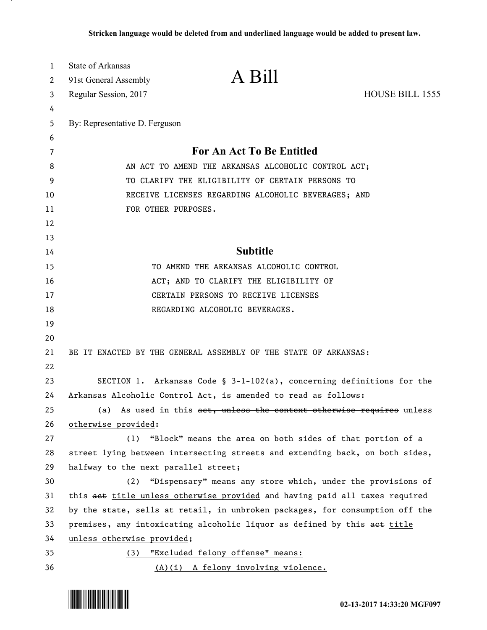| $\mathbf{1}$ | <b>State of Arkansas</b>             | A Bill                                                                       |                 |
|--------------|--------------------------------------|------------------------------------------------------------------------------|-----------------|
| 2            | 91st General Assembly                |                                                                              |                 |
| 3            | Regular Session, 2017                |                                                                              | HOUSE BILL 1555 |
| 4            |                                      |                                                                              |                 |
| 5            | By: Representative D. Ferguson       |                                                                              |                 |
| 6            |                                      |                                                                              |                 |
| 7            |                                      | <b>For An Act To Be Entitled</b>                                             |                 |
| 8            |                                      | AN ACT TO AMEND THE ARKANSAS ALCOHOLIC CONTROL ACT;                          |                 |
| 9            |                                      | TO CLARIFY THE ELIGIBILITY OF CERTAIN PERSONS TO                             |                 |
| 10           |                                      | RECEIVE LICENSES REGARDING ALCOHOLIC BEVERAGES; AND                          |                 |
| 11           | FOR OTHER PURPOSES.                  |                                                                              |                 |
| 12           |                                      |                                                                              |                 |
| 13           |                                      |                                                                              |                 |
| 14           |                                      | <b>Subtitle</b>                                                              |                 |
| 15           |                                      | TO AMEND THE ARKANSAS ALCOHOLIC CONTROL                                      |                 |
| 16           |                                      | ACT; AND TO CLARIFY THE ELIGIBILITY OF                                       |                 |
| 17           |                                      | CERTAIN PERSONS TO RECEIVE LICENSES                                          |                 |
| 18           |                                      | REGARDING ALCOHOLIC BEVERAGES.                                               |                 |
| 19           |                                      |                                                                              |                 |
| 20           |                                      |                                                                              |                 |
| 21           |                                      | BE IT ENACTED BY THE GENERAL ASSEMBLY OF THE STATE OF ARKANSAS:              |                 |
| 22           |                                      |                                                                              |                 |
| 23           |                                      | SECTION 1. Arkansas Code § 3-1-102(a), concerning definitions for the        |                 |
| 24           |                                      | Arkansas Alcoholic Control Act, is amended to read as follows:               |                 |
| 25           |                                      | (a) As used in this act, unless the context otherwise requires unless        |                 |
| 26           | otherwise provided:                  |                                                                              |                 |
| 27           | (1)                                  | "Block" means the area on both sides of that portion of a                    |                 |
| 28           |                                      | street lying between intersecting streets and extending back, on both sides, |                 |
| 29           | halfway to the next parallel street; |                                                                              |                 |
| 30           | (2)                                  | "Dispensary" means any store which, under the provisions of                  |                 |
| 31           |                                      | this aet title unless otherwise provided and having paid all taxes required  |                 |
| 32           |                                      | by the state, sells at retail, in unbroken packages, for consumption off the |                 |
| 33           |                                      | premises, any intoxicating alcoholic liquor as defined by this aet title     |                 |
| 34           | unless otherwise provided;           |                                                                              |                 |
| 35           |                                      | (3) "Excluded felony offense" means:                                         |                 |
| 36           |                                      | (A)(i) A felony involving violence.                                          |                 |



.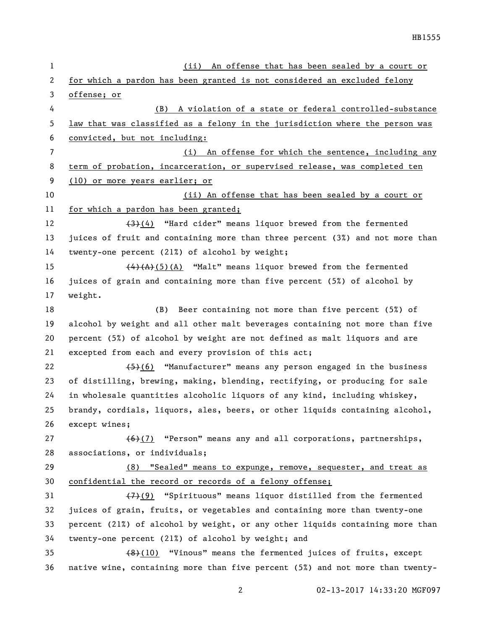| $\mathbf{1}$ | (i <sub>i</sub> )<br>An offense that has been sealed by a court or                           |
|--------------|----------------------------------------------------------------------------------------------|
| 2            | for which a pardon has been granted is not considered an excluded felony                     |
| 3            | offense; or                                                                                  |
| 4            | A violation of a state or federal controlled-substance<br>(B)                                |
| 5            | law that was classified as a felony in the jurisdiction where the person was                 |
| 6            | convicted, but not including:                                                                |
| 7            | (i) An offense for which the sentence, including any                                         |
| 8            | term of probation, incarceration, or supervised release, was completed ten                   |
| 9            | (10) or more years earlier; or                                                               |
| 10           | (ii) An offense that has been sealed by a court or                                           |
| 11           | for which a pardon has been granted;                                                         |
| 12           | $\left(\frac{4}{3}\right)\left(4\right)$ "Hard cider" means liquor brewed from the fermented |
| 13           | juices of fruit and containing more than three percent (3%) and not more than                |
| 14           | twenty-one percent (21%) of alcohol by weight;                                               |
| 15           | $\overline{(4)(A)(5)(A)}$ "Malt" means liquor brewed from the fermented                      |
| 16           | juices of grain and containing more than five percent (5%) of alcohol by                     |
| 17           | weight.                                                                                      |
| 18           | Beer containing not more than five percent (5%) of<br>(B)                                    |
| 19           | alcohol by weight and all other malt beverages containing not more than five                 |
| 20           | percent (5%) of alcohol by weight are not defined as malt liquors and are                    |
| 21           | excepted from each and every provision of this act;                                          |
| 22           | $(45)(6)$ "Manufacturer" means any person engaged in the business                            |
| 23           | of distilling, brewing, making, blending, rectifying, or producing for sale                  |
| 24           | in wholesale quantities alcoholic liquors of any kind, including whiskey,                    |
| 25           | brandy, cordials, liquors, ales, beers, or other liquids containing alcohol,                 |
| 26           | except wines;                                                                                |
| 27           | $(6)(7)$ "Person" means any and all corporations, partnerships,                              |
| 28           | associations, or individuals;                                                                |
| 29           | (8) "Sealed" means to expunge, remove, sequester, and treat as                               |
| 30           | confidential the record or records of a felony offense;                                      |
| 31           | (7)(9) "Spirituous" means liquor distilled from the fermented                                |
| 32           | juices of grain, fruits, or vegetables and containing more than twenty-one                   |
| 33           | percent (21%) of alcohol by weight, or any other liquids containing more than                |
| 34           | twenty-one percent (21%) of alcohol by weight; and                                           |
| 35           | $(48)(10)$ "Vinous" means the fermented juices of fruits, except                             |
| 36           | native wine, containing more than five percent (5%) and not more than twenty-                |
|              |                                                                                              |